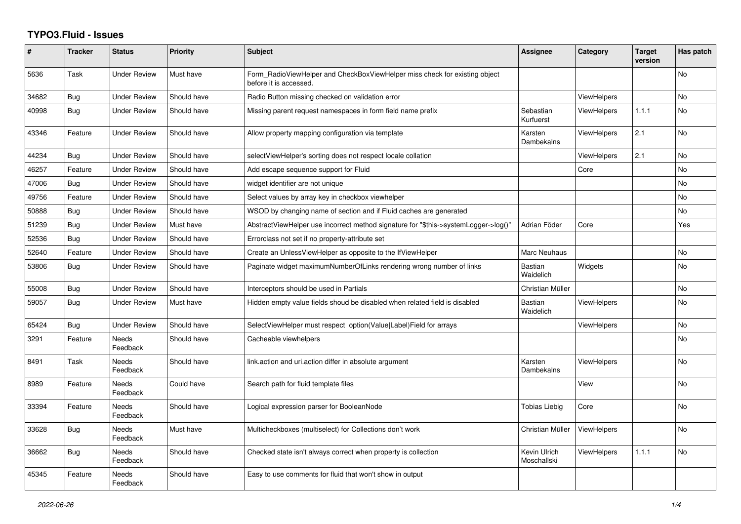## **TYPO3.Fluid - Issues**

| #     | <b>Tracker</b> | <b>Status</b>            | Priority    | <b>Subject</b>                                                                                       | Assignee                    | Category           | <b>Target</b><br>version | Has patch      |
|-------|----------------|--------------------------|-------------|------------------------------------------------------------------------------------------------------|-----------------------------|--------------------|--------------------------|----------------|
| 5636  | Task           | <b>Under Review</b>      | Must have   | Form RadioViewHelper and CheckBoxViewHelper miss check for existing object<br>before it is accessed. |                             |                    |                          | No             |
| 34682 | Bug            | <b>Under Review</b>      | Should have | Radio Button missing checked on validation error                                                     |                             | <b>ViewHelpers</b> |                          | <b>No</b>      |
| 40998 | <b>Bug</b>     | <b>Under Review</b>      | Should have | Missing parent request namespaces in form field name prefix                                          | Sebastian<br>Kurfuerst      | ViewHelpers        | 1.1.1                    | <b>No</b>      |
| 43346 | Feature        | <b>Under Review</b>      | Should have | Allow property mapping configuration via template                                                    | Karsten<br>Dambekalns       | <b>ViewHelpers</b> | 2.1                      | <b>No</b>      |
| 44234 | Bug            | <b>Under Review</b>      | Should have | selectViewHelper's sorting does not respect locale collation                                         |                             | ViewHelpers        | 2.1                      | <b>No</b>      |
| 46257 | Feature        | <b>Under Review</b>      | Should have | Add escape sequence support for Fluid                                                                |                             | Core               |                          | <b>No</b>      |
| 47006 | Bug            | Under Review             | Should have | widget identifier are not unique                                                                     |                             |                    |                          | No             |
| 49756 | Feature        | <b>Under Review</b>      | Should have | Select values by array key in checkbox viewhelper                                                    |                             |                    |                          | <b>No</b>      |
| 50888 | <b>Bug</b>     | <b>Under Review</b>      | Should have | WSOD by changing name of section and if Fluid caches are generated                                   |                             |                    |                          | N <sub>o</sub> |
| 51239 | Bug            | Under Review             | Must have   | AbstractViewHelper use incorrect method signature for "\$this->systemLogger->log()"                  | Adrian Föder                | Core               |                          | Yes            |
| 52536 | <b>Bug</b>     | <b>Under Review</b>      | Should have | Errorclass not set if no property-attribute set                                                      |                             |                    |                          |                |
| 52640 | Feature        | <b>Under Review</b>      | Should have | Create an UnlessViewHelper as opposite to the IfViewHelper                                           | <b>Marc Neuhaus</b>         |                    |                          | <b>No</b>      |
| 53806 | Bug            | Under Review             | Should have | Paginate widget maximumNumberOfLinks rendering wrong number of links                                 | Bastian<br>Waidelich        | Widgets            |                          | No             |
| 55008 | Bug            | Under Review             | Should have | Interceptors should be used in Partials                                                              | Christian Müller            |                    |                          | <b>No</b>      |
| 59057 | <b>Bug</b>     | <b>Under Review</b>      | Must have   | Hidden empty value fields shoud be disabled when related field is disabled                           | Bastian<br>Waidelich        | <b>ViewHelpers</b> |                          | No.            |
| 65424 | <b>Bug</b>     | <b>Under Review</b>      | Should have | SelectViewHelper must respect option(Value Label)Field for arrays                                    |                             | <b>ViewHelpers</b> |                          | <b>No</b>      |
| 3291  | Feature        | <b>Needs</b><br>Feedback | Should have | Cacheable viewhelpers                                                                                |                             |                    |                          | <b>No</b>      |
| 8491  | Task           | <b>Needs</b><br>Feedback | Should have | link.action and uri.action differ in absolute argument                                               | Karsten<br>Dambekalns       | <b>ViewHelpers</b> |                          | No.            |
| 8989  | Feature        | <b>Needs</b><br>Feedback | Could have  | Search path for fluid template files                                                                 |                             | View               |                          | N <sub>o</sub> |
| 33394 | Feature        | Needs<br>Feedback        | Should have | Logical expression parser for BooleanNode                                                            | <b>Tobias Liebig</b>        | Core               |                          | No             |
| 33628 | <b>Bug</b>     | Needs<br>Feedback        | Must have   | Multicheckboxes (multiselect) for Collections don't work                                             | Christian Müller            | <b>ViewHelpers</b> |                          | No             |
| 36662 | <b>Bug</b>     | <b>Needs</b><br>Feedback | Should have | Checked state isn't always correct when property is collection                                       | Kevin Ulrich<br>Moschallski | <b>ViewHelpers</b> | 1.1.1                    | N <sub>o</sub> |
| 45345 | Feature        | Needs<br>Feedback        | Should have | Easy to use comments for fluid that won't show in output                                             |                             |                    |                          |                |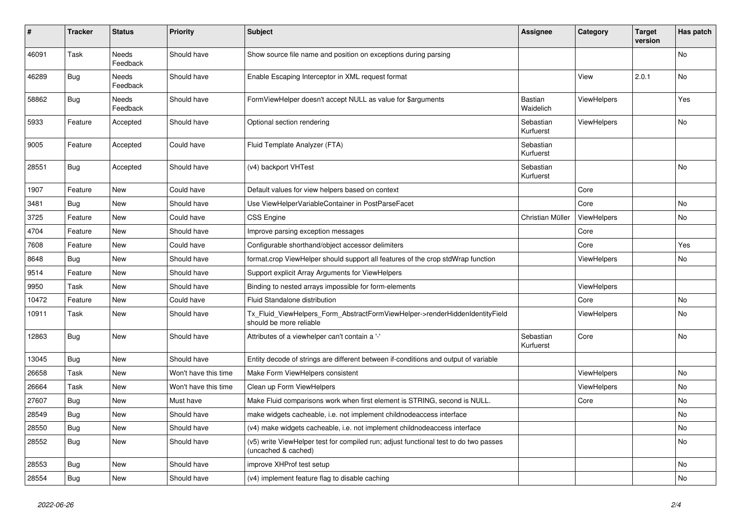| #     | <b>Tracker</b> | <b>Status</b>            | <b>Priority</b>      | <b>Subject</b>                                                                                              | <b>Assignee</b>        | Category           | <b>Target</b><br>version | Has patch |
|-------|----------------|--------------------------|----------------------|-------------------------------------------------------------------------------------------------------------|------------------------|--------------------|--------------------------|-----------|
| 46091 | Task           | <b>Needs</b><br>Feedback | Should have          | Show source file name and position on exceptions during parsing                                             |                        |                    |                          | <b>No</b> |
| 46289 | <b>Bug</b>     | Needs<br>Feedback        | Should have          | Enable Escaping Interceptor in XML request format                                                           |                        | View               | 2.0.1                    | No        |
| 58862 | Bug            | Needs<br>Feedback        | Should have          | FormViewHelper doesn't accept NULL as value for \$arguments                                                 | Bastian<br>Waidelich   | <b>ViewHelpers</b> |                          | Yes       |
| 5933  | Feature        | Accepted                 | Should have          | Optional section rendering                                                                                  | Sebastian<br>Kurfuerst | ViewHelpers        |                          | <b>No</b> |
| 9005  | Feature        | Accepted                 | Could have           | Fluid Template Analyzer (FTA)                                                                               | Sebastian<br>Kurfuerst |                    |                          |           |
| 28551 | Bug            | Accepted                 | Should have          | (v4) backport VHTest                                                                                        | Sebastian<br>Kurfuerst |                    |                          | No        |
| 1907  | Feature        | <b>New</b>               | Could have           | Default values for view helpers based on context                                                            |                        | Core               |                          |           |
| 3481  | Bug            | New                      | Should have          | Use ViewHelperVariableContainer in PostParseFacet                                                           |                        | Core               |                          | <b>No</b> |
| 3725  | Feature        | New                      | Could have           | <b>CSS Engine</b>                                                                                           | Christian Müller       | ViewHelpers        |                          | <b>No</b> |
| 4704  | Feature        | New                      | Should have          | Improve parsing exception messages                                                                          |                        | Core               |                          |           |
| 7608  | Feature        | New                      | Could have           | Configurable shorthand/object accessor delimiters                                                           |                        | Core               |                          | Yes       |
| 8648  | Bug            | New                      | Should have          | format.crop ViewHelper should support all features of the crop stdWrap function                             |                        | ViewHelpers        |                          | No        |
| 9514  | Feature        | New                      | Should have          | Support explicit Array Arguments for ViewHelpers                                                            |                        |                    |                          |           |
| 9950  | Task           | New                      | Should have          | Binding to nested arrays impossible for form-elements                                                       |                        | <b>ViewHelpers</b> |                          |           |
| 10472 | Feature        | <b>New</b>               | Could have           | Fluid Standalone distribution                                                                               |                        | Core               |                          | <b>No</b> |
| 10911 | Task           | New                      | Should have          | Tx_Fluid_ViewHelpers_Form_AbstractFormViewHelper->renderHiddenIdentityField<br>should be more reliable      |                        | <b>ViewHelpers</b> |                          | <b>No</b> |
| 12863 | <b>Bug</b>     | New                      | Should have          | Attributes of a viewhelper can't contain a '-'                                                              | Sebastian<br>Kurfuerst | Core               |                          | No        |
| 13045 | Bug            | New                      | Should have          | Entity decode of strings are different between if-conditions and output of variable                         |                        |                    |                          |           |
| 26658 | Task           | New                      | Won't have this time | Make Form ViewHelpers consistent                                                                            |                        | <b>ViewHelpers</b> |                          | No        |
| 26664 | Task           | New                      | Won't have this time | Clean up Form ViewHelpers                                                                                   |                        | <b>ViewHelpers</b> |                          | No        |
| 27607 | Bug            | New                      | Must have            | Make Fluid comparisons work when first element is STRING, second is NULL.                                   |                        | Core               |                          | No        |
| 28549 | Bug            | <b>New</b>               | Should have          | make widgets cacheable, i.e. not implement childnodeaccess interface                                        |                        |                    |                          | <b>No</b> |
| 28550 | Bug            | New                      | Should have          | (v4) make widgets cacheable, i.e. not implement childnodeaccess interface                                   |                        |                    |                          | <b>No</b> |
| 28552 | Bug            | New                      | Should have          | (v5) write ViewHelper test for compiled run; adjust functional test to do two passes<br>(uncached & cached) |                        |                    |                          | No        |
| 28553 | Bug            | <b>New</b>               | Should have          | improve XHProf test setup                                                                                   |                        |                    |                          | <b>No</b> |
| 28554 | <b>Bug</b>     | <b>New</b>               | Should have          | (v4) implement feature flag to disable caching                                                              |                        |                    |                          | <b>No</b> |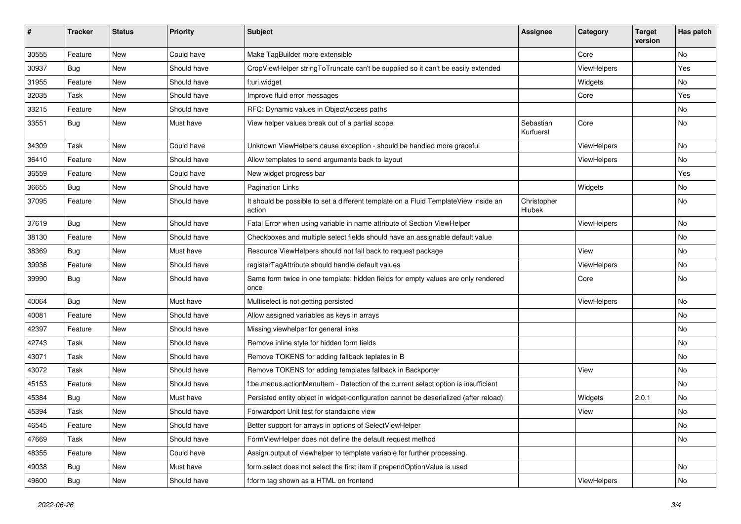| #     | <b>Tracker</b> | <b>Status</b> | <b>Priority</b> | Subject                                                                                       | Assignee               | Category    | <b>Target</b><br>version | Has patch |
|-------|----------------|---------------|-----------------|-----------------------------------------------------------------------------------------------|------------------------|-------------|--------------------------|-----------|
| 30555 | Feature        | New           | Could have      | Make TagBuilder more extensible                                                               |                        | Core        |                          | No        |
| 30937 | Bug            | New           | Should have     | CropViewHelper stringToTruncate can't be supplied so it can't be easily extended              |                        | ViewHelpers |                          | Yes       |
| 31955 | Feature        | New           | Should have     | f:uri.widget                                                                                  |                        | Widgets     |                          | No        |
| 32035 | Task           | New           | Should have     | Improve fluid error messages                                                                  |                        | Core        |                          | Yes       |
| 33215 | Feature        | New           | Should have     | RFC: Dynamic values in ObjectAccess paths                                                     |                        |             |                          | No        |
| 33551 | Bug            | New           | Must have       | View helper values break out of a partial scope                                               | Sebastian<br>Kurfuerst | Core        |                          | No        |
| 34309 | Task           | <b>New</b>    | Could have      | Unknown ViewHelpers cause exception - should be handled more graceful                         |                        | ViewHelpers |                          | No        |
| 36410 | Feature        | New           | Should have     | Allow templates to send arguments back to layout                                              |                        | ViewHelpers |                          | No        |
| 36559 | Feature        | New           | Could have      | New widget progress bar                                                                       |                        |             |                          | Yes       |
| 36655 | Bug            | New           | Should have     | <b>Pagination Links</b>                                                                       |                        | Widgets     |                          | No        |
| 37095 | Feature        | New           | Should have     | It should be possible to set a different template on a Fluid TemplateView inside an<br>action | Christopher<br>Hlubek  |             |                          | No        |
| 37619 | Bug            | <b>New</b>    | Should have     | Fatal Error when using variable in name attribute of Section ViewHelper                       |                        | ViewHelpers |                          | No        |
| 38130 | Feature        | New           | Should have     | Checkboxes and multiple select fields should have an assignable default value                 |                        |             |                          | No        |
| 38369 | Bug            | New           | Must have       | Resource ViewHelpers should not fall back to request package                                  |                        | View        |                          | No        |
| 39936 | Feature        | New           | Should have     | registerTagAttribute should handle default values                                             |                        | ViewHelpers |                          | No        |
| 39990 | Bug            | New           | Should have     | Same form twice in one template: hidden fields for empty values are only rendered<br>once     |                        | Core        |                          | No        |
| 40064 | Bug            | New           | Must have       | Multiselect is not getting persisted                                                          |                        | ViewHelpers |                          | No        |
| 40081 | Feature        | New           | Should have     | Allow assigned variables as keys in arrays                                                    |                        |             |                          | No        |
| 42397 | Feature        | New           | Should have     | Missing viewhelper for general links                                                          |                        |             |                          | No        |
| 42743 | Task           | New           | Should have     | Remove inline style for hidden form fields                                                    |                        |             |                          | No        |
| 43071 | Task           | New           | Should have     | Remove TOKENS for adding fallback teplates in B                                               |                        |             |                          | No        |
| 43072 | Task           | New           | Should have     | Remove TOKENS for adding templates fallback in Backporter                                     |                        | View        |                          | No        |
| 45153 | Feature        | New           | Should have     | f:be.menus.actionMenuItem - Detection of the current select option is insufficient            |                        |             |                          | No        |
| 45384 | Bug            | <b>New</b>    | Must have       | Persisted entity object in widget-configuration cannot be deserialized (after reload)         |                        | Widgets     | 2.0.1                    | No        |
| 45394 | Task           | New           | Should have     | Forwardport Unit test for standalone view                                                     |                        | View        |                          | No        |
| 46545 | Feature        | New           | Should have     | Better support for arrays in options of SelectViewHelper                                      |                        |             |                          | No        |
| 47669 | Task           | New           | Should have     | FormViewHelper does not define the default request method                                     |                        |             |                          | No        |
| 48355 | Feature        | New           | Could have      | Assign output of viewhelper to template variable for further processing.                      |                        |             |                          |           |
| 49038 | Bug            | New           | Must have       | form.select does not select the first item if prependOptionValue is used                      |                        |             |                          | No        |
| 49600 | <b>Bug</b>     | New           | Should have     | f:form tag shown as a HTML on frontend                                                        |                        | ViewHelpers |                          | No        |